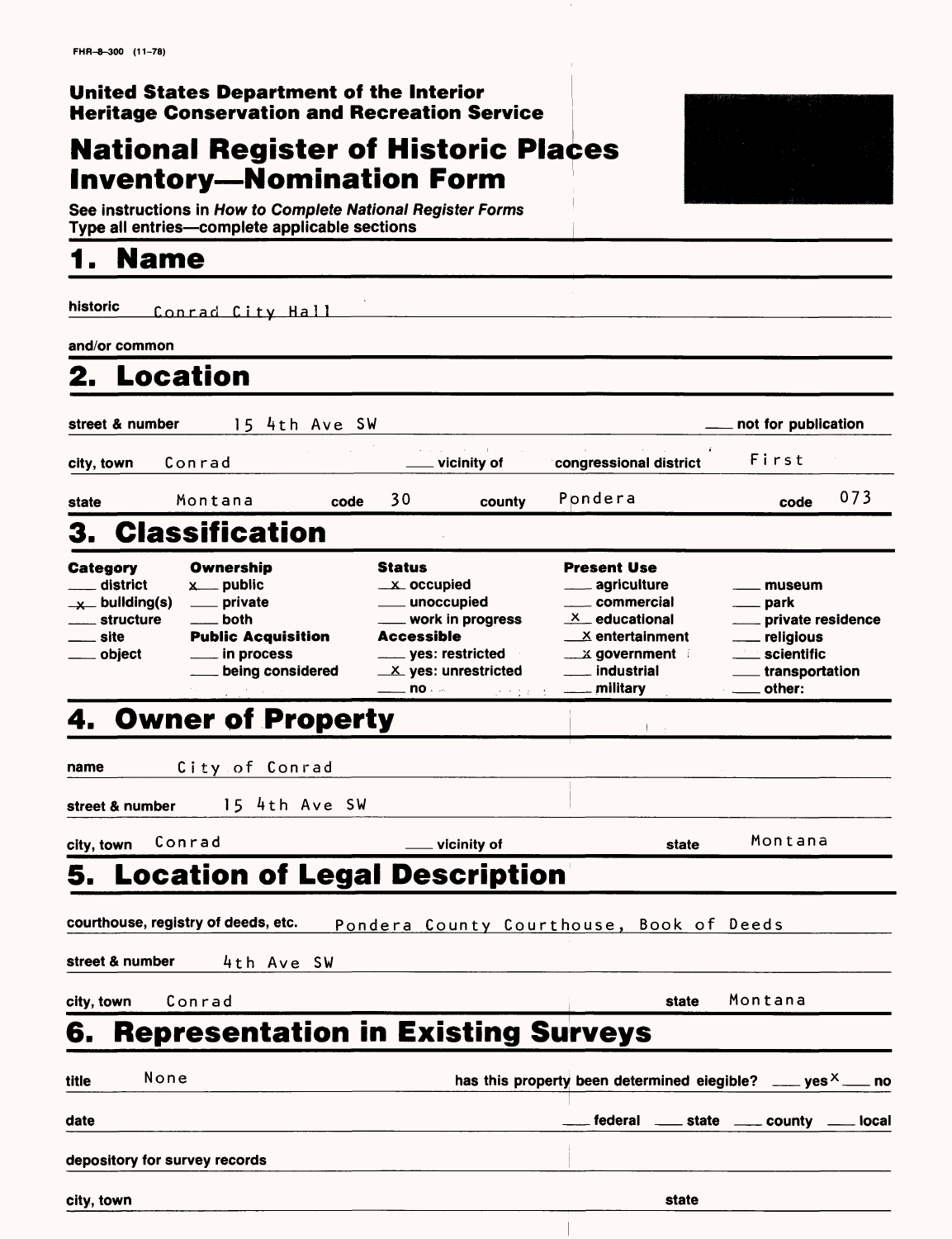#### **United States Department of the Interior Heritage Conservation and Recreation Service j**

### **National Register of Historic Places Inventory—Nomination Form**

See instructions in How to Complete National Register Forms Type all entries—complete applicable sections

### **1. Name**

historic **Conrad City Hall and/or common 2. Location street & number** 15 4th Ave SW **not for publication not for publication** city, town Conrad vicinity of **congressional district** First state Montana code *3* <sup>0</sup> **county code** 073 3. Classification **Category** district  $x$  building(s) structure site object **Ownership Sta**<br>
<u>x</u> public x \_\_\_ private both **Public Acquisition** in process being considered Status **Present Use** . occupied aariculture unoccupied work in progress **Accessible** yes: restricted - yes: unrestricted yes: restricted<br>yes: unrestricted<br>no . 4. Owner of Property commercial  $X$  educational x entertainment  $\times$  government in industrial military museum park private residence religious scientific transportation other: i **name City of Conrad street & number** 15 4th Ave SW **city, town** Conrad **vicinity of** state Montana **5. Location of Legal Description courthouse, registry of deeds, etc.** Pondera County Courthouse. Book of Deeds

street & number 4th Ave SW

**city, town** Conrad **state** Montana

**6. Representation in Existing Surveys**

| None<br>title                 | has this property been determined elegible? ____ yes $x^2$ ___ no |
|-------------------------------|-------------------------------------------------------------------|
| date                          | ____ federal _____ state _____ county ____ local                  |
| depository for survey records |                                                                   |
| city, town                    | state                                                             |

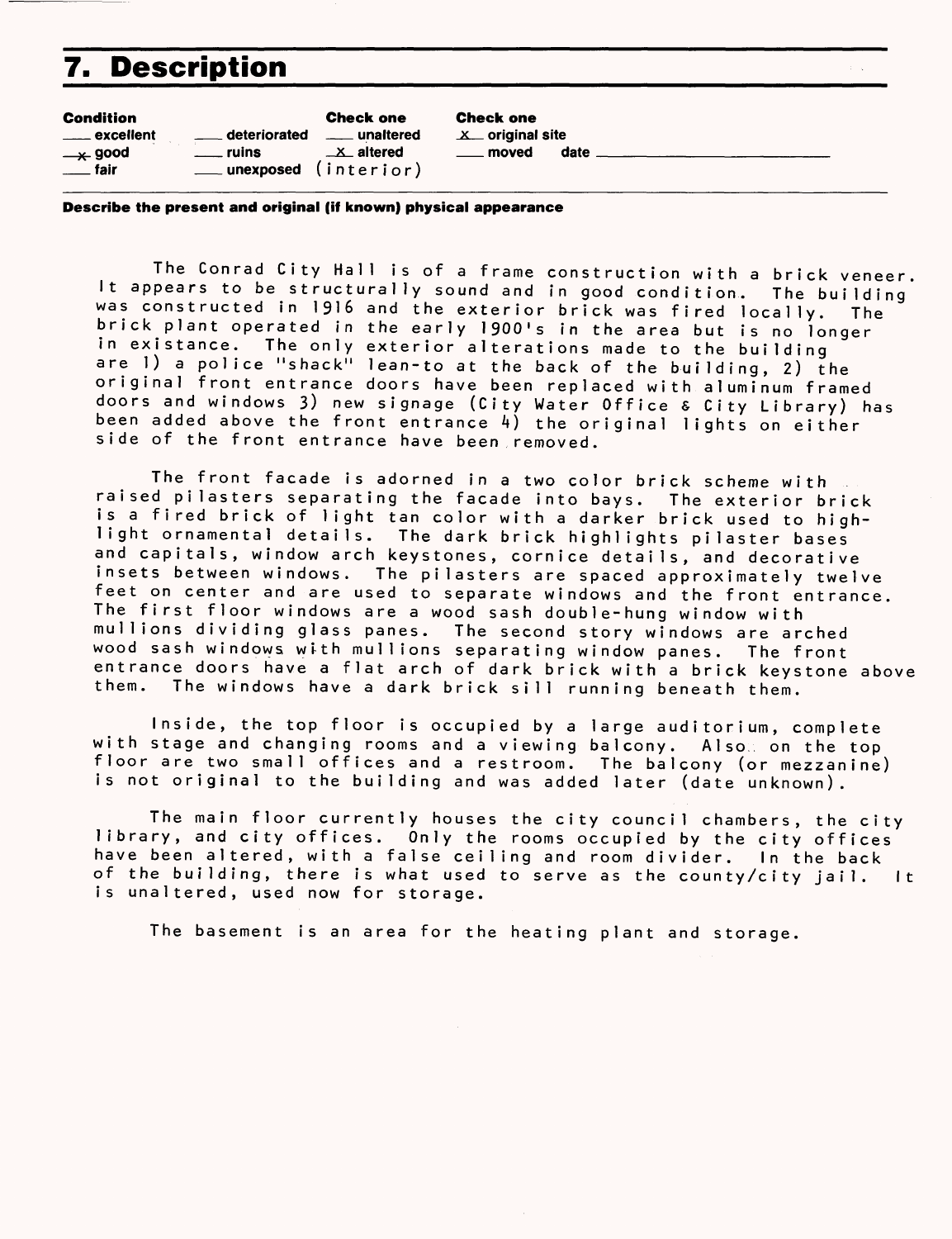## **7. Description**

|  | <b>Condition</b><br><u>__</u> __ excellent<br>____ ruins<br>$\rightarrow$ good<br>___unexposed (interior)<br><u>___</u> fair | <b>Check one</b><br>deteriorated ____ unaltered<br>$\perp$ altered | <b>Check one</b><br>$X$ original site<br>moved | date |
|--|------------------------------------------------------------------------------------------------------------------------------|--------------------------------------------------------------------|------------------------------------------------|------|
|--|------------------------------------------------------------------------------------------------------------------------------|--------------------------------------------------------------------|------------------------------------------------|------|

**Describe the present and original (if known) physical appearance**

The Conrad City Hall is of a frame construction with a brick veneer. It appears to be structurally sound and in good condition. The building\* was constructed in 1916 and the exterior brick was fired locally. The brick plant operated in the early 1900's in the area but is no longer in existance. The only exterior alterations made to the building are 1) a police "shack" lean-to at the back of the building, 2) the original front entrance doors have been replaced with aluminum framed doors and windows 3) new signage (City Water Office & City Library) has been added above the front entrance  $4)$  the original lights on either side of the front entrance have been removed.

The front facade is adorned in a two color brick scheme with raised pilasters separating the facade into bays. The exterior brick is a fired brick of light tan color with a darker brick used to highlight ornamental details. The dark brick highlights pilaster bases and capitals, window arch keystones, cornice details, and decorative insets between windows. The pilasters are spaced approximately twelve feet on center and are used to separate windows and the front entrance. The first floor windows are a wood sash double-hung window with mullions dividing glass panes. The second story windows are arched wood sash windows wtth mullions separating window panes. The front entrance doors have a flat arch of dark brick with a brick keystone above them. The windows have a dark brick sill running beneath them.

Inside, the top floor is occupied by a large auditorium, complete with stage and changing rooms and a viewing balcony. Alsow on the top floor are two small offices and a restroom. The balcony (or mezzanine) is not original to the building and was added later (date unknown).

The main floor currently houses the city council chambers, the city library, and city offices. Only the rooms occupied by the city offices have been altered, with a false ceiling and room divider. In the back of the building, there is what used to serve as the county/city jail. It is unaltered, used now for storage.

The basement is an area for the heating plant and storage.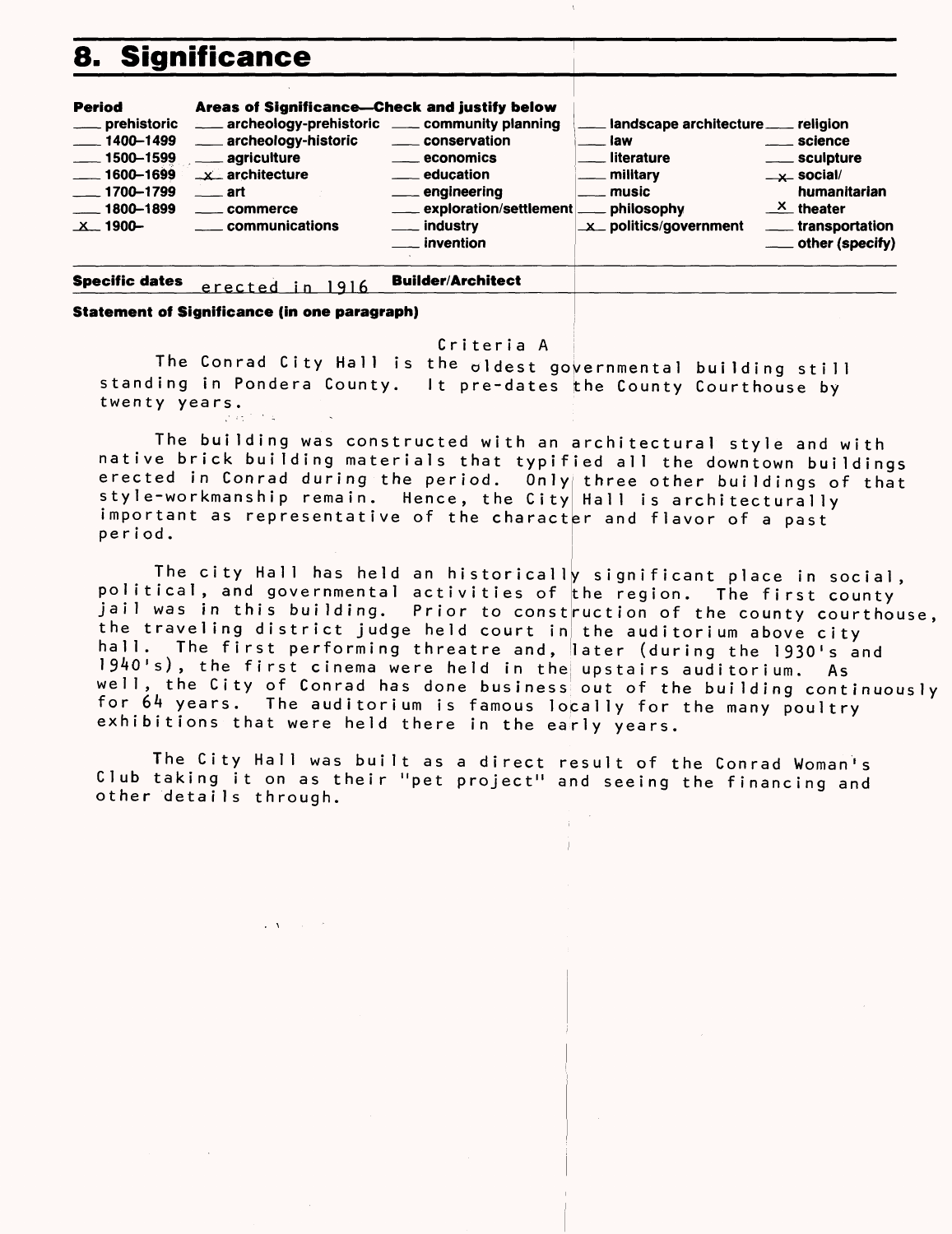## 8. Significance

| <b>Period</b><br>____ prehistoric<br>$\frac{1}{2}$ 1400–1499<br>$- 1500 - 1599$<br>$\frac{1600 - 1699}{1600 - 1699}$<br>$\frac{1}{2}$ 1700-1799<br>$\frac{1800 - 1899}{1000}$<br>$\mathbf{X}$ 1900- | Areas of Significance-Check and justify below<br>archeology-prehistoric ___ community planning<br>archeology-historic<br>____ agriculture<br>$\rightarrow \infty$ architecture<br>$\_\_\$ art<br>____ commerce<br><u>__</u> __ communications | _____ conservation<br>_____ economics<br><u>__</u> education<br>___ engineering<br>exploration/settlement<br><u>__</u> industry<br>__ invention | landscape architecture ___ religion<br>law<br>literature<br>military<br>. music<br>philosophy<br>X politics/government | . science<br>___ sculpture<br>$-x$ social/<br>humanitarian<br>$X$ theater<br>____ transportation<br>___ other (specify) |
|-----------------------------------------------------------------------------------------------------------------------------------------------------------------------------------------------------|-----------------------------------------------------------------------------------------------------------------------------------------------------------------------------------------------------------------------------------------------|-------------------------------------------------------------------------------------------------------------------------------------------------|------------------------------------------------------------------------------------------------------------------------|-------------------------------------------------------------------------------------------------------------------------|
|                                                                                                                                                                                                     |                                                                                                                                                                                                                                               |                                                                                                                                                 |                                                                                                                        |                                                                                                                         |

**Specific dates Builder/Architect** erected in 1916

**Statement of Significance (in one paragraph)** 

#### Criteria A

The Conrad City Hall is the oldest governmental building still standing in Pondera County. It pre-dates the County Courthouse by twenty years.

The building was constructed with an architectural style and with native brick building materials that typified all the downtown buildings erected in Conrad during the period. Only three other buildings of that style-workmanship remain. Hence, the City Hall is architecturally important as representative of the character and flavor of a past period.

The city Hall has held an historically significant place in social, political, and governmental activities of the region. The first county jail was in this building. Prior to construction of the county courthouse, the traveling district judge held court in the auditorium above city hall. The first performing threatre and, later (during the 1930's and 1940's), the first cinema were held in the upstairs auditorium. As well, the City of Conrad has done business out of the building continuously for 64 years. The auditorium is famous locally for the many poultry exhibitions that were held there in the early years.

The City Hall was built as a direct result of the Conrad Woman's Club taking it on as their "pet project" and seeing the financing and other details through.

 $\mathbf{1}=\mathbf{X}^{(1)}$  , where  $\mathbf{X}^{(2)}$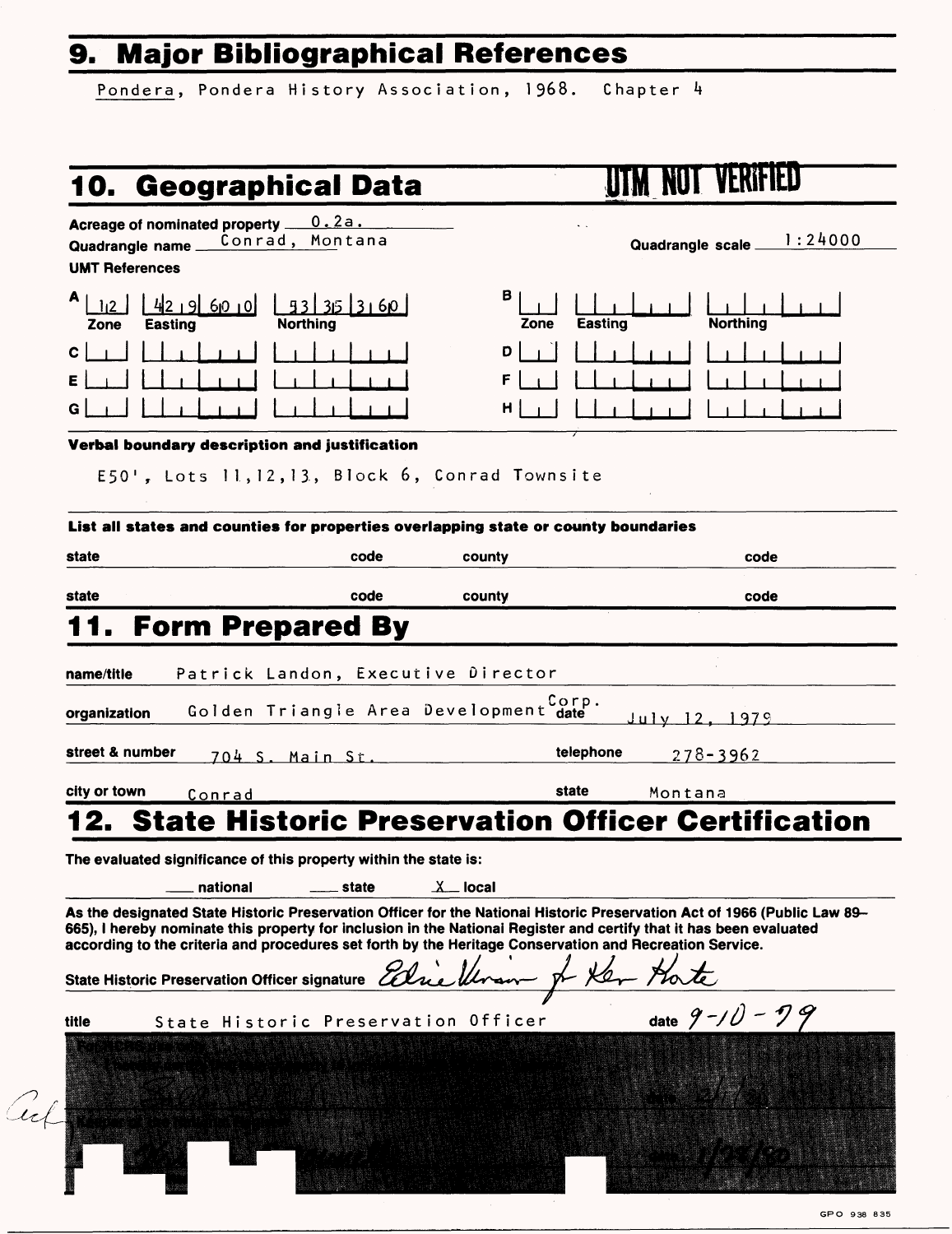# **9. Major Bibliographical References\_\_\_**

Pondera, Pondera History Association, 1968. Chapter 4

# **10. Geographical Data HUIM NOT VERIFIED**

Acreage of nominated property <u>0.2a.</u><br>Quadrangle name Conrad, Montana Quadrangle name.

#### UMT References

|     |  |                          |   | $A \begin{array}{ c c c c c c c c } \hline A & 1 & 2 & 4 & 9 & 60 & 0 & 3 & 3 & 5 & 3 & 60 \\ \hline \hline \end{array}$ |
|-----|--|--------------------------|---|--------------------------------------------------------------------------------------------------------------------------|
|     |  |                          |   |                                                                                                                          |
| εİ  |  | <u>a di bandari bata</u> |   |                                                                                                                          |
| G l |  |                          | . |                                                                                                                          |

| в<br>Zone                                | $\begin{array}{ c c c c c c c c } \hline & & & & & & \\ \hline \textbf{Easting} & & & & & \textbf{Northing} & & \\ \hline \end{array}$ |  |
|------------------------------------------|----------------------------------------------------------------------------------------------------------------------------------------|--|
| $D \begin{bmatrix} 1 \\ 1 \end{bmatrix}$ | $\Box$                                                                                                                                 |  |
| F   T                                    | <u>nd na 1</u>                                                                                                                         |  |
| н                                        | $\mathbf{1}$ $\mathbf{1}$ $\mathbf{1}$ $\mathbf{1}$                                                                                    |  |

 $\ddot{\phantom{a}}$ 

Quadrangle scale I :24000

#### **Verbal boundary description and justification**

E50', Lots 11,12,13, Block 6, Conrad Townsite

| state                                                                                                               | code                                  | county    | code                                                                                                                                                                                                                                            |
|---------------------------------------------------------------------------------------------------------------------|---------------------------------------|-----------|-------------------------------------------------------------------------------------------------------------------------------------------------------------------------------------------------------------------------------------------------|
| state                                                                                                               | code                                  | county    | code                                                                                                                                                                                                                                            |
|                                                                                                                     | <b>Form Prepared By</b>               |           |                                                                                                                                                                                                                                                 |
| name/title                                                                                                          | Patrick Landon, Executive Director    |           |                                                                                                                                                                                                                                                 |
| organization                                                                                                        | Golden Triangle Area Development date | Corp.     | July 12. 1979                                                                                                                                                                                                                                   |
| street & number                                                                                                     | 704 S. Main St.                       |           | telephone<br>$278 - 3962$                                                                                                                                                                                                                       |
| city or town<br>Conrad                                                                                              |                                       | state     | Montana                                                                                                                                                                                                                                         |
|                                                                                                                     |                                       |           |                                                                                                                                                                                                                                                 |
| national<br>according to the criteria and procedures set forth by the Heritage Conservation and Recreation Service. | state                                 | $X$ local | As the designated State Historic Preservation Officer for the National Historic Preservation Act of 1966 (Public Law 89-<br>665), I hereby nominate this property for inclusion in the Nationai Register and certify that it has been evaluated |
|                                                                                                                     |                                       |           |                                                                                                                                                                                                                                                 |
| title                                                                                                               | State Historic Preservation Officer   |           | date $9 - 10 - 79$                                                                                                                                                                                                                              |
| State Historic Preservation Officer signature Edie Ulran & Ker Hote                                                 |                                       |           |                                                                                                                                                                                                                                                 |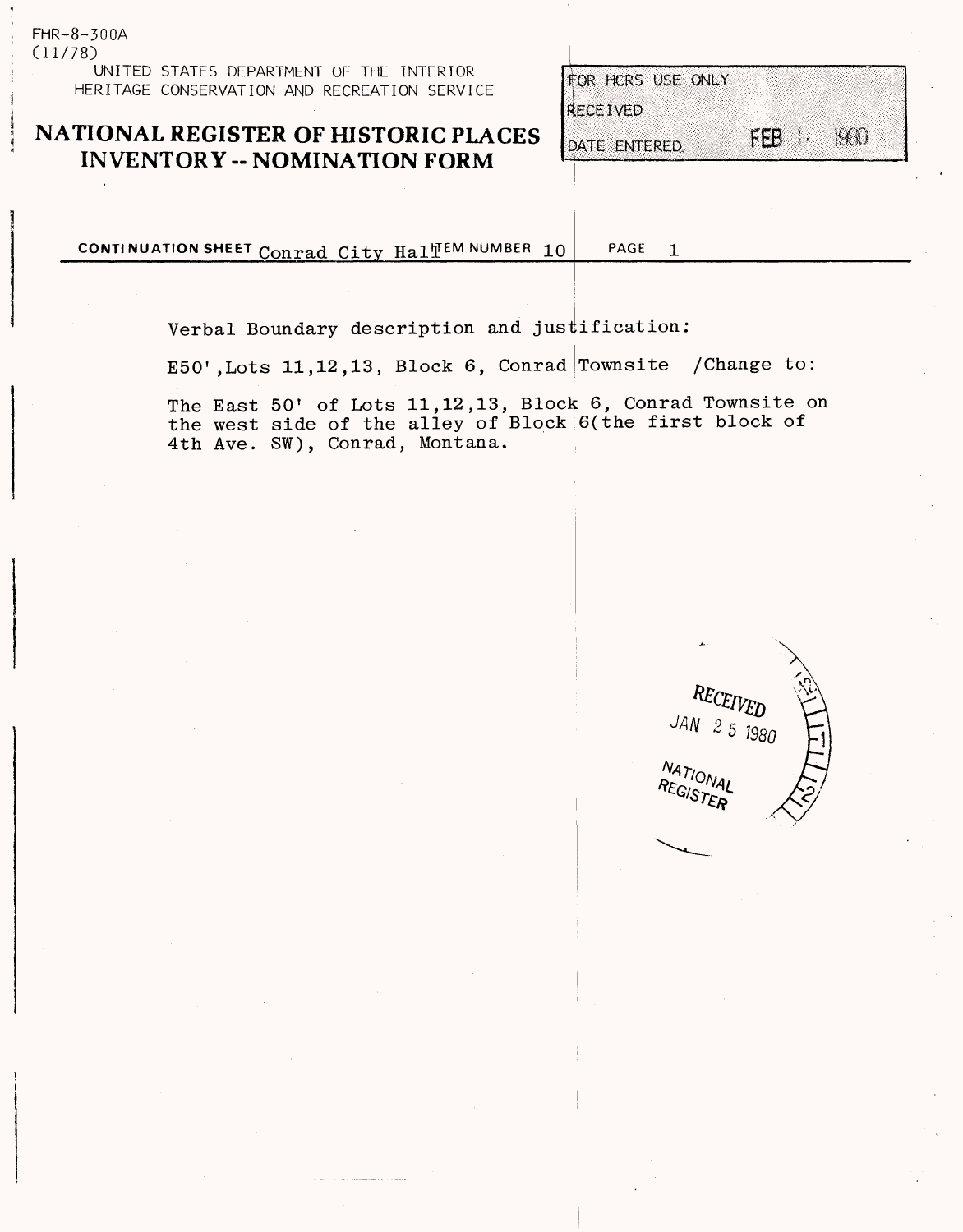FHR-8-300A (11/78) UNITED STATES DEPARTMENT OF THE INTERIOR HERITAGE CONSERVATION AND RECREATION SERVICE

#### **NATIONAL REGISTER OF HISTORIC PLACES INVENTORY -- NOMINATION FORM**

| FOR HCRS USE ONLY |       |                            |
|-------------------|-------|----------------------------|
| RECEIVED          |       |                            |
| DATE ENTERED.     | FEB 1 | $\mathcal{A}(\mathcal{A})$ |

CONTINUATION SHEET Conrad City Hall<sup>EM</sup> NUMBER 10 PAGE  $\mathbf{1}$ 

Verbal Boundary description and justification:

E50',Lots 11,12,13, Block 6, Conrad Townsite /Change to:

The East 50' of Lots 11,12,13, Block 6, Conrad Townsite on the west side of the alley of Block 6(the first block of 4th Ave. SW), Conrad, Montana.